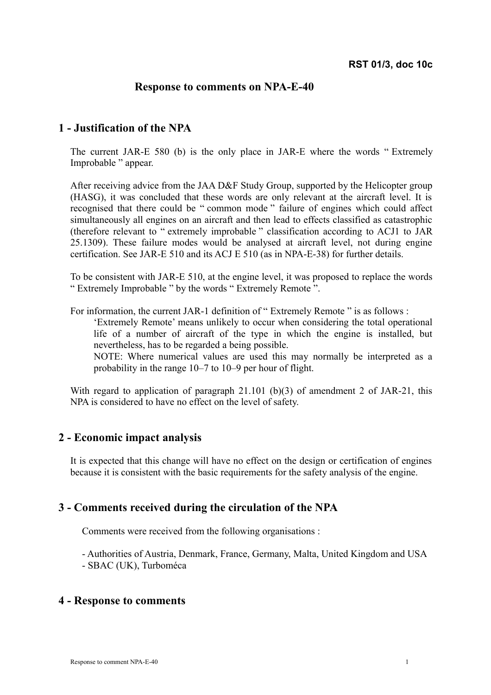## **Response to comments on NPA-E-40**

# **1 - Justification of the NPA**

The current JAR-E 580 (b) is the only place in JAR-E where the words " Extremely Improbable " appear.

After receiving advice from the JAA D&F Study Group, supported by the Helicopter group (HASG), it was concluded that these words are only relevant at the aircraft level. It is recognised that there could be " common mode " failure of engines which could affect simultaneously all engines on an aircraft and then lead to effects classified as catastrophic (therefore relevant to " extremely improbable " classification according to ACJ1 to JAR 25.1309). These failure modes would be analysed at aircraft level, not during engine certification. See JAR-E 510 and its ACJ E 510 (as in NPA-E-38) for further details.

To be consistent with JAR-E 510, at the engine level, it was proposed to replace the words " Extremely Improbable " by the words " Extremely Remote ".

For information, the current JAR-1 definition of " Extremely Remote " is as follows :

'Extremely Remote' means unlikely to occur when considering the total operational life of a number of aircraft of the type in which the engine is installed, but nevertheless, has to be regarded a being possible.

NOTE: Where numerical values are used this may normally be interpreted as a probability in the range 10–7 to 10–9 per hour of flight.

With regard to application of paragraph 21.101 (b)(3) of amendment 2 of JAR-21, this NPA is considered to have no effect on the level of safety.

### **2 - Economic impact analysis**

It is expected that this change will have no effect on the design or certification of engines because it is consistent with the basic requirements for the safety analysis of the engine.

### **3 - Comments received during the circulation of the NPA**

Comments were received from the following organisations :

- Authorities of Austria, Denmark, France, Germany, Malta, United Kingdom and USA - SBAC (UK), Turboméca

#### **4 - Response to comments**